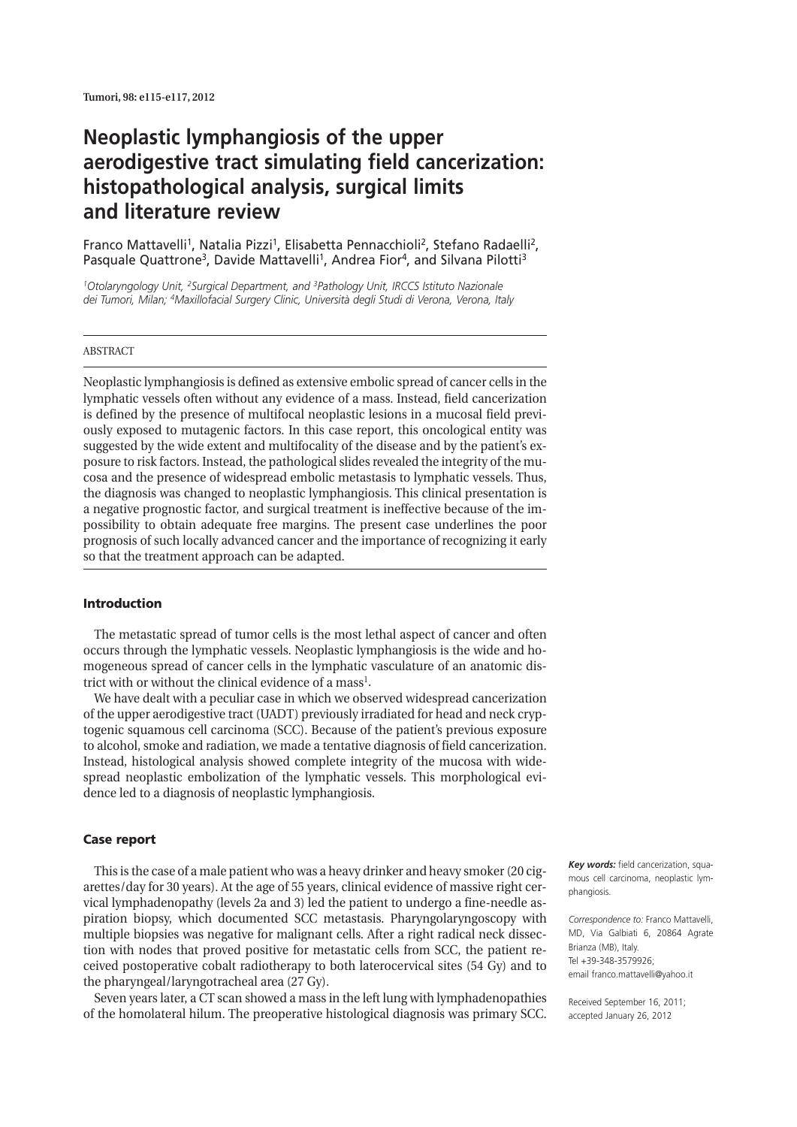# **Neoplastic lymphangiosis of the upper aerodigestive tract simulating field cancerization: histopathological analysis, surgical limits and literature review**

Franco Mattavelli<sup>1</sup>, Natalia Pizzi<sup>1</sup>, Elisabetta Pennacchioli<sup>2</sup>, Stefano Radaelli<sup>2</sup>, Pasquale Quattrone<sup>3</sup>, Davide Mattavelli<sup>1</sup>, Andrea Fior<sup>4</sup>, and Silvana Pilotti<sup>3</sup>

*1Otolaryngology Unit, 2Surgical Department, and 3Pathology Unit, IRCCS Istituto Nazionale dei Tumori, Milan; 4Maxillofacial Surgery Clinic, Università degli Studi di Verona, Verona, Italy*

#### ABSTRACT

Neoplastic lymphangiosis is defined as extensive embolic spread of cancer cells in the lymphatic vessels often without any evidence of a mass. Instead, field cancerization is defined by the presence of multifocal neoplastic lesions in a mucosal field previously exposed to mutagenic factors. In this case report, this oncological entity was suggested by the wide extent and multifocality of the disease and by the patient's exposure to risk factors. Instead, the pathological slides revealed the integrity of the mucosa and the presence of widespread embolic metastasis to lymphatic vessels. Thus, the diagnosis was changed to neoplastic lymphangiosis. This clinical presentation is a negative prognostic factor, and surgical treatment is ineffective because of the impossibility to obtain adequate free margins. The present case underlines the poor prognosis of such locally advanced cancer and the importance of recognizing it early so that the treatment approach can be adapted.

## **Introduction**

The metastatic spread of tumor cells is the most lethal aspect of cancer and often occurs through the lymphatic vessels. Neoplastic lymphangiosis is the wide and homogeneous spread of cancer cells in the lymphatic vasculature of an anatomic district with or without the clinical evidence of a mass<sup>1</sup>.

We have dealt with a peculiar case in which we observed widespread cancerization of the upper aerodigestive tract (UADT) previously irradiated for head and neck cryptogenic squamous cell carcinoma (SCC). Because of the patient's previous exposure to alcohol, smoke and radiation, we made a tentative diagnosis of field cancerization. Instead, histological analysis showed complete integrity of the mucosa with widespread neoplastic embolization of the lymphatic vessels. This morphological evidence led to a diagnosis of neoplastic lymphangiosis.

#### **Case report**

This is the case of a male patient who was a heavy drinker and heavy smoker (20 cigarettes/day for 30 years). At the age of 55 years, clinical evidence of massive right cervical lymphadenopathy (levels 2a and 3) led the patient to undergo a fine-needle aspiration biopsy, which documented SCC metastasis. Pharyngolaryngoscopy with multiple biopsies was negative for malignant cells. After a right radical neck dissection with nodes that proved positive for metastatic cells from SCC, the patient received postoperative cobalt radiotherapy to both laterocervical sites (54 Gy) and to the pharyngeal/laryngotracheal area (27 Gy).

Seven years later, a CT scan showed a mass in the left lung with lymphadenopathies of the homolateral hilum. The preoperative histological diagnosis was primary SCC.

*Key words:* field cancerization, squamous cell carcinoma, neoplastic lymnhangiosis

*Correspondence to:* Franco Mattavelli, MD, Via Galbiati 6, 20864 Agrate Brianza (MB), Italy. Tel +39-348-3579926; email franco.mattavelli@yahoo.it

Received September 16, 2011; accepted January 26, 2012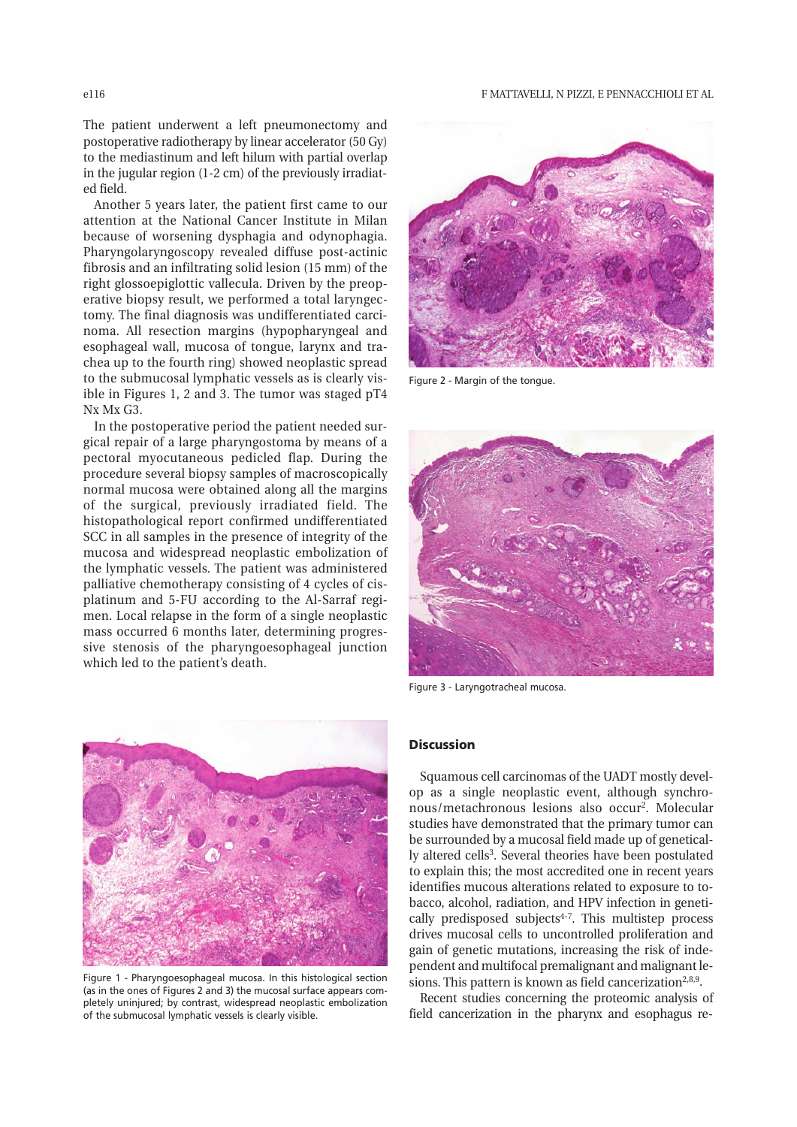The patient underwent a left pneumonectomy and postoperative radiotherapy by linear accelerator (50 Gy) to the mediastinum and left hilum with partial overlap in the jugular region (1-2 cm) of the previously irradiated field.

Another 5 years later, the patient first came to our attention at the National Cancer Institute in Milan because of worsening dysphagia and odynophagia. Pharyngolaryngoscopy revealed diffuse post-actinic fibrosis and an infiltrating solid lesion (15 mm) of the right glossoepiglottic vallecula. Driven by the preoperative biopsy result, we performed a total laryngectomy. The final diagnosis was undifferentiated carcinoma. All resection margins (hypopharyngeal and esophageal wall, mucosa of tongue, larynx and trachea up to the fourth ring) showed neoplastic spread to the submucosal lymphatic vessels as is clearly visible in Figures 1, 2 and 3. The tumor was staged pT4 Nx Mx G3.

In the postoperative period the patient needed surgical repair of a large pharyngostoma by means of a pectoral myocutaneous pedicled flap. During the procedure several biopsy samples of macroscopically normal mucosa were obtained along all the margins of the surgical, previously irradiated field. The histopathological report confirmed undifferentiated SCC in all samples in the presence of integrity of the mucosa and widespread neoplastic embolization of the lymphatic vessels. The patient was administered palliative chemotherapy consisting of 4 cycles of cisplatinum and 5-FU according to the Al-Sarraf regimen. Local relapse in the form of a single neoplastic mass occurred 6 months later, determining progressive stenosis of the pharyngoesophageal junction which led to the patient's death.



Figure 1 - Pharyngoesophageal mucosa. In this histological section (as in the ones of Figures 2 and 3) the mucosal surface appears completely uninjured; by contrast, widespread neoplastic embolization of the submucosal lymphatic vessels is clearly visible.



Figure 2 - Margin of the tongue.



Figure 3 - Laryngotracheal mucosa.

## **Discussion**

Squamous cell carcinomas of the UADT mostly develop as a single neoplastic event, although synchronous/metachronous lesions also occur2. Molecular studies have demonstrated that the primary tumor can be surrounded by a mucosal field made up of genetically altered cells<sup>3</sup>. Several theories have been postulated to explain this; the most accredited one in recent years identifies mucous alterations related to exposure to tobacco, alcohol, radiation, and HPV infection in genetically predisposed subjects $4-7$ . This multistep process drives mucosal cells to uncontrolled proliferation and gain of genetic mutations, increasing the risk of independent and multifocal premalignant and malignant lesions. This pattern is known as field cancerization<sup>2,8,9</sup>.

Recent studies concerning the proteomic analysis of field cancerization in the pharynx and esophagus re